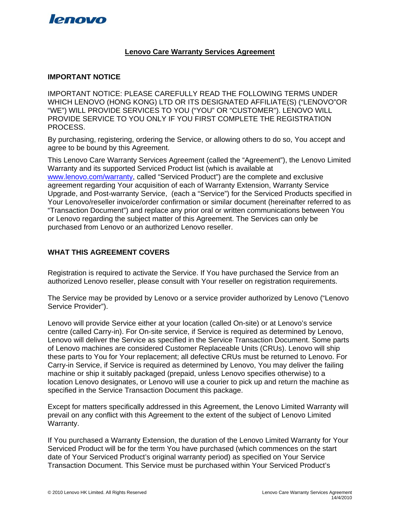

#### **Lenovo Care Warranty Services Agreement**

### **IMPORTANT NOTICE**

IMPORTANT NOTICE: PLEASE CAREFULLY READ THE FOLLOWING TERMS UNDER WHICH LENOVO (HONG KONG) LTD OR ITS DESIGNATED AFFILIATE(S) ("LENOVO"OR "WE") WILL PROVIDE SERVICES TO YOU ("YOU" OR "CUSTOMER"). LENOVO WILL PROVIDE SERVICE TO YOU ONLY IF YOU FIRST COMPLETE THE REGISTRATION PROCESS.

By purchasing, registering, ordering the Service, or allowing others to do so, You accept and agree to be bound by this Agreement.

This Lenovo Care Warranty Services Agreement (called the "Agreement"), the Lenovo Limited Warranty and its supported Serviced Product list (which is available at [www.lenovo.com/warranty](http://www.lenovo.com/warranty), called "Serviced Product") are the complete and exclusive agreement regarding Your acquisition of each of Warranty Extension, Warranty Service Upgrade, and Post-warranty Service, (each a "Service") for the Serviced Products specified in Your Lenovo/reseller invoice/order confirmation or similar document (hereinafter referred to as "Transaction Document") and replace any prior oral or written communications between You or Lenovo regarding the subject matter of this Agreement. The Services can only be purchased from Lenovo or an authorized Lenovo reseller.

# **WHAT THIS AGREEMENT COVERS**

Registration is required to activate the Service. If You have purchased the Service from an authorized Lenovo reseller, please consult with Your reseller on registration requirements.

The Service may be provided by Lenovo or a service provider authorized by Lenovo ("Lenovo Service Provider").

Lenovo will provide Service either at your location (called On-site) or at Lenovo's service centre (called Carry-in). For On-site service, if Service is required as determined by Lenovo, Lenovo will deliver the Service as specified in the Service Transaction Document. Some parts of Lenovo machines are considered Customer Replaceable Units (CRUs). Lenovo will ship these parts to You for Your replacement; all defective CRUs must be returned to Lenovo. For Carry-in Service, if Service is required as determined by Lenovo, You may deliver the failing machine or ship it suitably packaged (prepaid, unless Lenovo specifies otherwise) to a location Lenovo designates, or Lenovo will use a courier to pick up and return the machine as specified in the Service Transaction Document this package.

Except for matters specifically addressed in this Agreement, the Lenovo Limited Warranty will prevail on any conflict with this Agreement to the extent of the subject of Lenovo Limited Warranty.

If You purchased a Warranty Extension, the duration of the Lenovo Limited Warranty for Your Serviced Product will be for the term You have purchased (which commences on the start date of Your Serviced Product's original warranty period) as specified on Your Service Transaction Document. This Service must be purchased within Your Serviced Product's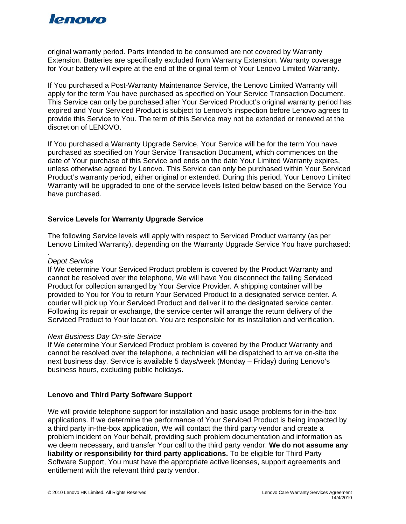

original warranty period. Parts intended to be consumed are not covered by Warranty Extension. Batteries are specifically excluded from Warranty Extension. Warranty coverage for Your battery will expire at the end of the original term of Your Lenovo Limited Warranty.

If You purchased a Post-Warranty Maintenance Service, the Lenovo Limited Warranty will apply for the term You have purchased as specified on Your Service Transaction Document. This Service can only be purchased after Your Serviced Product's original warranty period has expired and Your Serviced Product is subject to Lenovo's inspection before Lenovo agrees to provide this Service to You. The term of this Service may not be extended or renewed at the discretion of LENOVO.

If You purchased a Warranty Upgrade Service, Your Service will be for the term You have purchased as specified on Your Service Transaction Document, which commences on the date of Your purchase of this Service and ends on the date Your Limited Warranty expires, unless otherwise agreed by Lenovo. This Service can only be purchased within Your Serviced Product's warranty period, either original or extended. During this period, Your Lenovo Limited Warranty will be upgraded to one of the service levels listed below based on the Service You have purchased.

#### **Service Levels for Warranty Upgrade Service**

The following Service levels will apply with respect to Serviced Product warranty (as per Lenovo Limited Warranty), depending on the Warranty Upgrade Service You have purchased:

#### . *Depot Service*

If We determine Your Serviced Product problem is covered by the Product Warranty and cannot be resolved over the telephone, We will have You disconnect the failing Serviced Product for collection arranged by Your Service Provider. A shipping container will be provided to You for You to return Your Serviced Product to a designated service center. A courier will pick up Your Serviced Product and deliver it to the designated service center. Following its repair or exchange, the service center will arrange the return delivery of the Serviced Product to Your location. You are responsible for its installation and verification.

#### *Next Business Day On-site Service*

If We determine Your Serviced Product problem is covered by the Product Warranty and cannot be resolved over the telephone, a technician will be dispatched to arrive on-site the next business day. Service is available 5 days/week (Monday – Friday) during Lenovo's business hours, excluding public holidays.

#### **Lenovo and Third Party Software Support**

We will provide telephone support for installation and basic usage problems for in-the-box applications. If we determine the performance of Your Serviced Product is being impacted by a third party in-the-box application, We will contact the third party vendor and create a problem incident on Your behalf, providing such problem documentation and information as we deem necessary, and transfer Your call to the third party vendor. **We do not assume any liability or responsibility for third party applications.** To be eligible for Third Party Software Support, You must have the appropriate active licenses, support agreements and entitlement with the relevant third party vendor.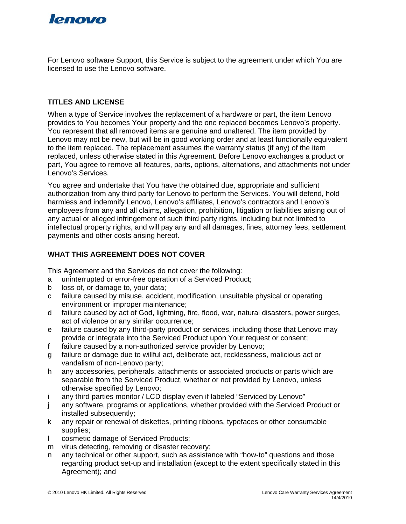

For Lenovo software Support, this Service is subject to the agreement under which You are licensed to use the Lenovo software.

# **TITLES AND LICENSE**

When a type of Service involves the replacement of a hardware or part, the item Lenovo provides to You becomes Your property and the one replaced becomes Lenovo's property. You represent that all removed items are genuine and unaltered. The item provided by Lenovo may not be new, but will be in good working order and at least functionally equivalent to the item replaced. The replacement assumes the warranty status (if any) of the item replaced, unless otherwise stated in this Agreement. Before Lenovo exchanges a product or part, You agree to remove all features, parts, options, alternations, and attachments not under Lenovo's Services.

You agree and undertake that You have the obtained due, appropriate and sufficient authorization from any third party for Lenovo to perform the Services. You will defend, hold harmless and indemnify Lenovo, Lenovo's affiliates, Lenovo's contractors and Lenovo's employees from any and all claims, allegation, prohibition, litigation or liabilities arising out of any actual or alleged infringement of such third party rights, including but not limited to intellectual property rights, and will pay any and all damages, fines, attorney fees, settlement payments and other costs arising hereof.

# **WHAT THIS AGREEMENT DOES NOT COVER**

This Agreement and the Services do not cover the following:

- a uninterrupted or error-free operation of a Serviced Product;
- b loss of, or damage to, your data;
- c failure caused by misuse, accident, modification, unsuitable physical or operating environment or improper maintenance;
- d failure caused by act of God, lightning, fire, flood, war, natural disasters, power surges, act of violence or any similar occurrence;
- e failure caused by any third-party product or services, including those that Lenovo may provide or integrate into the Serviced Product upon Your request or consent;
- f failure caused by a non-authorized service provider by Lenovo;
- g failure or damage due to willful act, deliberate act, recklessness, malicious act or vandalism of non-Lenovo party;
- h any accessories, peripherals, attachments or associated products or parts which are separable from the Serviced Product, whether or not provided by Lenovo, unless otherwise specified by Lenovo;
- i any third parties monitor / LCD display even if labeled "Serviced by Lenovo"
- j any software, programs or applications, whether provided with the Serviced Product or installed subsequently:
- k any repair or renewal of diskettes, printing ribbons, typefaces or other consumable supplies;
- l cosmetic damage of Serviced Products;
- m virus detecting, removing or disaster recovery;
- n any technical or other support, such as assistance with "how-to" questions and those regarding product set-up and installation (except to the extent specifically stated in this Agreement); and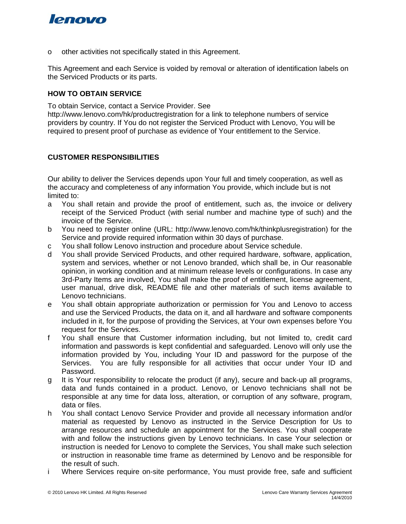# lenovo

o other activities not specifically stated in this Agreement.

This Agreement and each Service is voided by removal or alteration of identification labels on the Serviced Products or its parts.

## **HOW TO OBTAIN SERVICE**

To obtain Service, contact a Service Provider. See http://www.lenovo.com/hk/productregistration for a link to telephone numbers of service providers by country. If You do not register the Serviced Product with Lenovo, You will be required to present proof of purchase as evidence of Your entitlement to the Service.

# **CUSTOMER RESPONSIBILITIES**

Our ability to deliver the Services depends upon Your full and timely cooperation, as well as the accuracy and completeness of any information You provide, which include but is not limited to:

- a You shall retain and provide the proof of entitlement, such as, the invoice or delivery receipt of the Serviced Product (with serial number and machine type of such) and the invoice of the Service.
- b You need to register online (URL: http://www.lenovo.com/hk/thinkplusregistration) for the Service and provide required information within 30 days of purchase.
- c You shall follow Lenovo instruction and procedure about Service schedule.
- d You shall provide Serviced Products, and other required hardware, software, application, system and services, whether or not Lenovo branded, which shall be, in Our reasonable opinion, in working condition and at minimum release levels or configurations. In case any 3rd-Party Items are involved, You shall make the proof of entitlement, license agreement, user manual, drive disk, README file and other materials of such items available to Lenovo technicians.
- e You shall obtain appropriate authorization or permission for You and Lenovo to access and use the Serviced Products, the data on it, and all hardware and software components included in it, for the purpose of providing the Services, at Your own expenses before You request for the Services.
- f You shall ensure that Customer information including, but not limited to, credit card information and passwords is kept confidential and safeguarded. Lenovo will only use the information provided by You, including Your ID and password for the purpose of the Services. You are fully responsible for all activities that occur under Your ID and Password.
- g It is Your responsibility to relocate the product (if any), secure and back-up all programs, data and funds contained in a product. Lenovo, or Lenovo technicians shall not be responsible at any time for data loss, alteration, or corruption of any software, program, data or files.
- h You shall contact Lenovo Service Provider and provide all necessary information and/or material as requested by Lenovo as instructed in the Service Description for Us to arrange resources and schedule an appointment for the Services. You shall cooperate with and follow the instructions given by Lenovo technicians. In case Your selection or instruction is needed for Lenovo to complete the Services, You shall make such selection or instruction in reasonable time frame as determined by Lenovo and be responsible for the result of such.
- i Where Services require on-site performance, You must provide free, safe and sufficient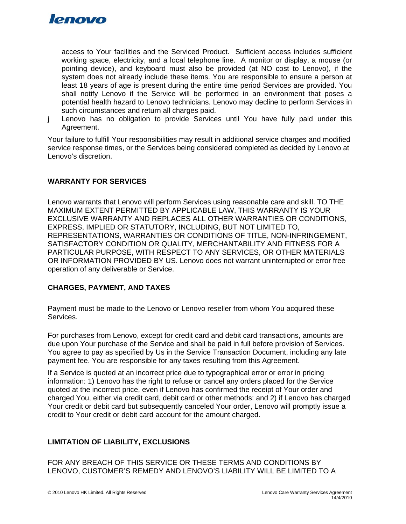

access to Your facilities and the Serviced Product. Sufficient access includes sufficient working space, electricity, and a local telephone line. A monitor or display, a mouse (or pointing device), and keyboard must also be provided (at NO cost to Lenovo), if the system does not already include these items. You are responsible to ensure a person at least 18 years of age is present during the entire time period Services are provided. You shall notify Lenovo if the Service will be performed in an environment that poses a potential health hazard to Lenovo technicians. Lenovo may decline to perform Services in such circumstances and return all charges paid.

j Lenovo has no obligation to provide Services until You have fully paid under this Agreement.

Your failure to fulfill Your responsibilities may result in additional service charges and modified service response times, or the Services being considered completed as decided by Lenovo at Lenovo's discretion.

## **WARRANTY FOR SERVICES**

Lenovo warrants that Lenovo will perform Services using reasonable care and skill. TO THE MAXIMUM EXTENT PERMITTED BY APPLICABLE LAW, THIS WARRANTY IS YOUR EXCLUSIVE WARRANTY AND REPLACES ALL OTHER WARRANTIES OR CONDITIONS, EXPRESS, IMPLIED OR STATUTORY, INCLUDING, BUT NOT LIMITED TO, REPRESENTATIONS, WARRANTIES OR CONDITIONS OF TITLE, NON-INFRINGEMENT, SATISFACTORY CONDITION OR QUALITY, MERCHANTABILITY AND FITNESS FOR A PARTICULAR PURPOSE, WITH RESPECT TO ANY SERVICES, OR OTHER MATERIALS OR INFORMATION PROVIDED BY US. Lenovo does not warrant uninterrupted or error free operation of any deliverable or Service.

#### **CHARGES, PAYMENT, AND TAXES**

Payment must be made to the Lenovo or Lenovo reseller from whom You acquired these Services.

For purchases from Lenovo, except for credit card and debit card transactions, amounts are due upon Your purchase of the Service and shall be paid in full before provision of Services. You agree to pay as specified by Us in the Service Transaction Document, including any late payment fee. You are responsible for any taxes resulting from this Agreement.

If a Service is quoted at an incorrect price due to typographical error or error in pricing information: 1) Lenovo has the right to refuse or cancel any orders placed for the Service quoted at the incorrect price, even if Lenovo has confirmed the receipt of Your order and charged You, either via credit card, debit card or other methods: and 2) if Lenovo has charged Your credit or debit card but subsequently canceled Your order, Lenovo will promptly issue a credit to Your credit or debit card account for the amount charged.

# **LIMITATION OF LIABILITY, EXCLUSIONS**

FOR ANY BREACH OF THIS SERVICE OR THESE TERMS AND CONDITIONS BY LENOVO, CUSTOMER'S REMEDY AND LENOVO'S LIABILITY WILL BE LIMITED TO A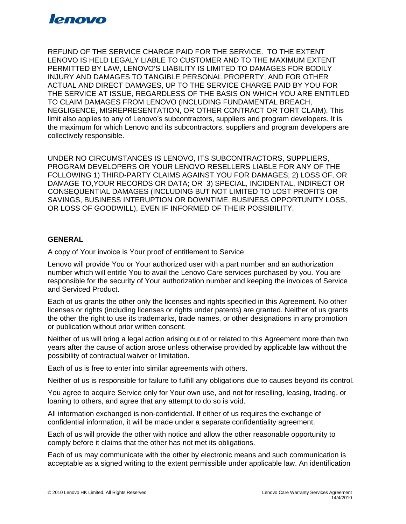

REFUND OF THE SERVICE CHARGE PAID FOR THE SERVICE. TO THE EXTENT LENOVO IS HELD LEGALY LIABLE TO CUSTOMER AND TO THE MAXIMUM EXTENT PERMITTED BY LAW, LENOVO'S LIABILITY IS LIMITED TO DAMAGES FOR BODILY INJURY AND DAMAGES TO TANGIBLE PERSONAL PROPERTY, AND FOR OTHER ACTUAL AND DIRECT DAMAGES, UP TO THE SERVICE CHARGE PAID BY YOU FOR THE SERVICE AT ISSUE, REGARDLESS OF THE BASIS ON WHICH YOU ARE ENTITLED TO CLAIM DAMAGES FROM LENOVO (INCLUDING FUNDAMENTAL BREACH, NEGLIGENCE, MISREPRESENTATION, OR OTHER CONTRACT OR TORT CLAIM). This limit also applies to any of Lenovo's subcontractors, suppliers and program developers. It is the maximum for which Lenovo and its subcontractors, suppliers and program developers are collectively responsible.

UNDER NO CIRCUMSTANCES IS LENOVO, ITS SUBCONTRACTORS, SUPPLIERS, PROGRAM DEVELOPERS OR YOUR LENOVO RESELLERS LIABLE FOR ANY OF THE FOLLOWING 1) THIRD-PARTY CLAIMS AGAINST YOU FOR DAMAGES; 2) LOSS OF, OR DAMAGE TO,YOUR RECORDS OR DATA; OR 3) SPECIAL, INCIDENTAL, INDIRECT OR CONSEQUENTIAL DAMAGES (INCLUDING BUT NOT LIMITED TO LOST PROFITS OR SAVINGS, BUSINESS INTERUPTION OR DOWNTIME, BUSINESS OPPORTUNITY LOSS, OR LOSS OF GOODWILL), EVEN IF INFORMED OF THEIR POSSIBILITY.

#### **GENERAL**

A copy of Your invoice is Your proof of entitlement to Service

Lenovo will provide You or Your authorized user with a part number and an authorization number which will entitle You to avail the Lenovo Care services purchased by you. You are responsible for the security of Your authorization number and keeping the invoices of Service and Serviced Product.

Each of us grants the other only the licenses and rights specified in this Agreement. No other licenses or rights (including licenses or rights under patents) are granted. Neither of us grants the other the right to use its trademarks, trade names, or other designations in any promotion or publication without prior written consent.

Neither of us will bring a legal action arising out of or related to this Agreement more than two years after the cause of action arose unless otherwise provided by applicable law without the possibility of contractual waiver or limitation.

Each of us is free to enter into similar agreements with others.

Neither of us is responsible for failure to fulfill any obligations due to causes beyond its control.

You agree to acquire Service only for Your own use, and not for reselling, leasing, trading, or loaning to others, and agree that any attempt to do so is void.

All information exchanged is non-confidential. If either of us requires the exchange of confidential information, it will be made under a separate confidentiality agreement.

Each of us will provide the other with notice and allow the other reasonable opportunity to comply before it claims that the other has not met its obligations.

Each of us may communicate with the other by electronic means and such communication is acceptable as a signed writing to the extent permissible under applicable law. An identification